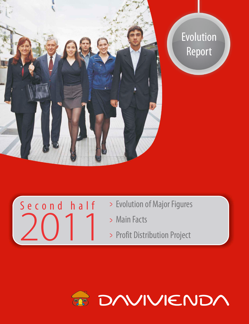

Second half

2011

# Evolution Report



- Main Facts
- > Profit Distribution Project

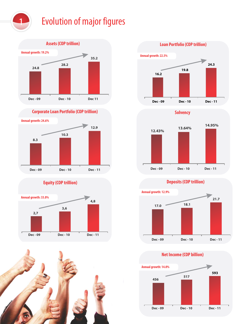



**Corporate Loan Portfolio (COP trillion)**



**Equity (COP trillion)**











#### **Deposits (COP trillion)**



**Net Income (COP billion)**

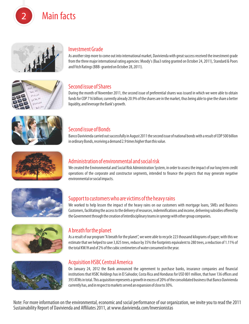Main facts



#### Investment Grade

As another step more to come out into international market, Davivienda with great success received the investment grade from the three major international rating agencies: Moody's (Baa3 rating granted on October 24, 2011), Standard & Poors and Fitch Ratings (BBB- granted on October 28, 2011).



# Second issue of Shares

During the month of November 2011, the second issue of preferential shares was issued in which we were able to obtain funds for COP 716 billion; currently already 20.9% of the shares are in the market, thus being able to give the share a better liquidity, and leverage the Bank's growth.



# Second issue of Bonds

Banco Davivienda carried out successfully in August 2011 the second issue of national bonds with a result of COP 500 billion in ordinary Bonds, receiving a demand 2.9 times higher than this value.



# Administration of environmental and social risk

We created the Environmental and Social Risk Administration System, in order to assess the impact of our long term credit operations of the corporate and constructor segments, intended to finance the projects that may generate negative environmental or social impacts.



# Support to customers who are victims of the heavy rains

We worked to help lessen the impact of the heavy rains on our customers with mortgage loans, SMEs and Business Customers, facilitating the access to the delivery of resources, indemnifications and income, delivering subsidies offered by the Government through the creation of interdisciplinary teams in synergy with other group companies.



#### A breath for the planet

As a result of our program "A breath for the planet", we were able to recycle 223 thousand kilograms of paper; with this we estimate that we helped to save 3,825 trees, reduce by 35% the footprints equivalent to 280 trees, a reduction of 1.11% of the total KW/H and of 2% of the cubic centimeters of water consumed in the year.



#### Acquisition HSBC Central America

On January 24, 2012 the Bank announced the agreement to purchase banks, insurance companies and financial institutions that HSBC Holdings has in El Salvador, Costa Rica and Honduras for USD 801 million, that have 136 offices and 393 ATMs in total. This acquisition represents a growth in excess of 20% of the consolidated business that Banco Davivienda currently has, and in respect to markets served an expansion of close to 30%.

**Proyecto de Distribución** Note: For more imormation on the environmental, economic and social performance of our org.<br>Sustainability Report of Davivienda and Affiliates 2011, at www.davivienda.com/Inversionistas Note: For more information on the environmental, economic and social performance of our organization, we invite you to read the 2011